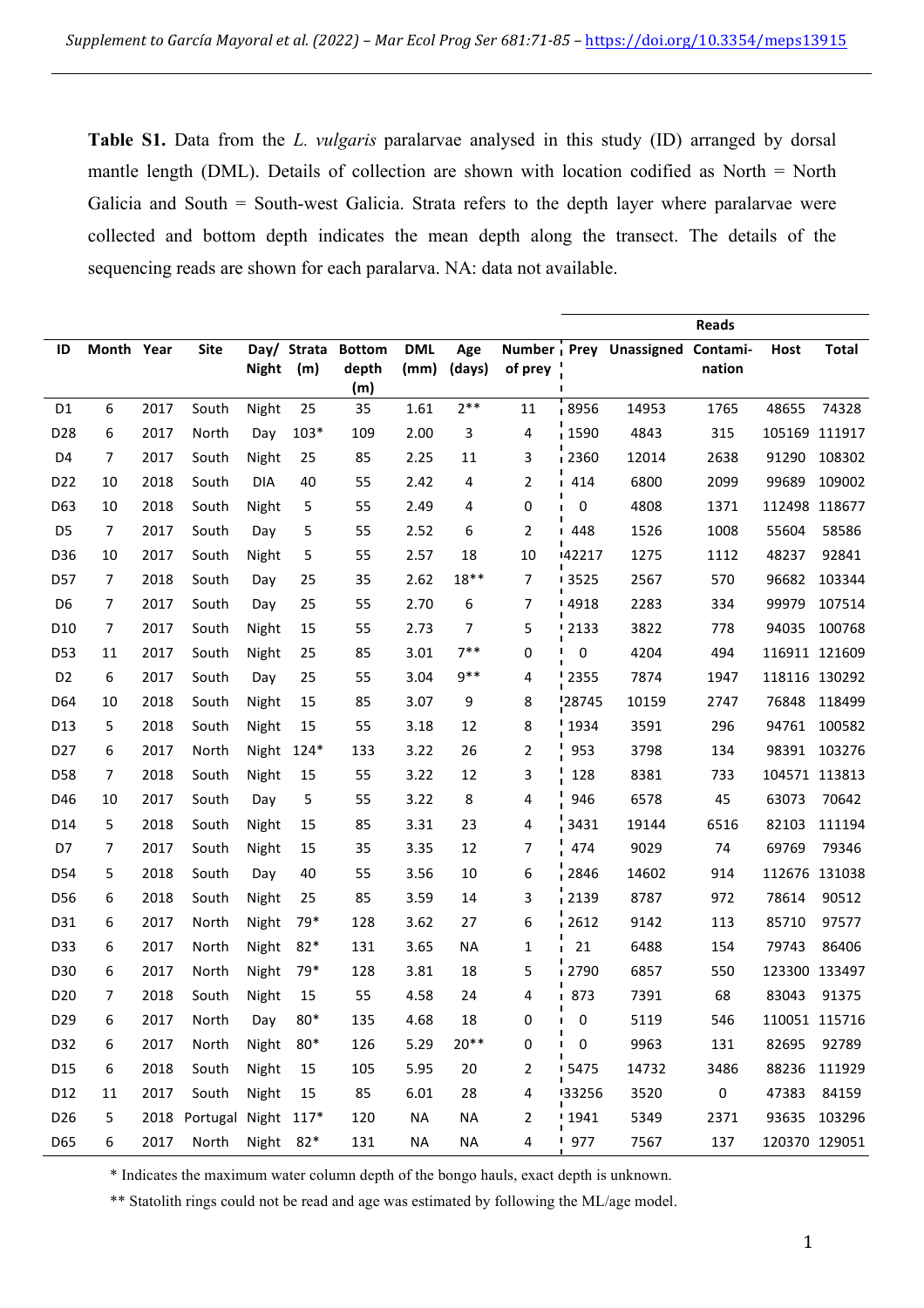**Table S1.** Data from the *L. vulgaris* paralarvae analysed in this study (ID) arranged by dorsal mantle length (DML). Details of collection are shown with location codified as North = North Galicia and South = South-west Galicia. Strata refers to the depth layer where paralarvae were collected and bottom depth indicates the mean depth along the transect. The details of the sequencing reads are shown for each paralarva. NA: data not available.

|                 |            |      |                     |              |             |               |            |           |                |                      |                        | <b>Reads</b> |               |               |
|-----------------|------------|------|---------------------|--------------|-------------|---------------|------------|-----------|----------------|----------------------|------------------------|--------------|---------------|---------------|
| ID              | Month Year |      | <b>Site</b>         |              | Day/ Strata | <b>Bottom</b> | <b>DML</b> | Age       |                |                      | Number Prey Unassigned | Contami-     | <b>Host</b>   | <b>Total</b>  |
|                 |            |      |                     | <b>Night</b> | (m)         | depth         | (mm)       | (days)    | of prey        |                      |                        | nation       |               |               |
|                 |            |      |                     |              |             | (m)           |            | $2***$    |                |                      |                        |              |               | 74328         |
| D <sub>1</sub>  | 6          | 2017 | South               | Night        | 25          | 35            | 1.61       |           | 11             | 8956                 | 14953                  | 1765         | 48655         |               |
| D <sub>28</sub> | 6          | 2017 | North               | Day          | $103*$      | 109           | 2.00       | 3         | 4              | 1590                 | 4843                   | 315          | 105169 111917 |               |
| D <sub>4</sub>  | 7          | 2017 | South               | Night        | 25          | 85            | 2.25       | 11        | 3              | 2360                 | 12014                  | 2638         | 91290         | 108302        |
| D <sub>22</sub> | 10         | 2018 | South               | <b>DIA</b>   | 40          | 55            | 2.42       | 4         | $\overline{2}$ | 1414                 | 6800                   | 2099         | 99689         | 109002        |
| D63             | 10         | 2018 | South               | Night        | 5           | 55            | 2.49       | 4         | 0              | $\mathbf 0$          | 4808                   | 1371         | 112498 118677 |               |
| D <sub>5</sub>  | 7          | 2017 | South               | Day          | 5           | 55            | 2.52       | 6         | $\overline{2}$ | 1448                 | 1526                   | 1008         | 55604         | 58586         |
| D36             | 10         | 2017 | South               | Night        | 5           | 55            | 2.57       | 18        | 10             | 42217                | 1275                   | 1112         | 48237         | 92841         |
| <b>D57</b>      | 7          | 2018 | South               | Day          | 25          | 35            | 2.62       | $18**$    | 7              | $-3525$              | 2567                   | 570          | 96682         | 103344        |
| D <sub>6</sub>  | 7          | 2017 | South               | Day          | 25          | 55            | 2.70       | 6         | 7              | <sup>1</sup> 4918    | 2283                   | 334          | 99979         | 107514        |
| D <sub>10</sub> | 7          | 2017 | South               | Night        | 15          | 55            | 2.73       | 7         | 5              | $-2133$              | 3822                   | 778          | 94035         | 100768        |
| D <sub>53</sub> | 11         | 2017 | South               | Night        | 25          | 85            | 3.01       | $7***$    | 0              | П<br>0               | 4204                   | 494          | 116911 121609 |               |
| D <sub>2</sub>  | 6          | 2017 | South               | Day          | 25          | 55            | 3.04       | 9**       | 4              | $2355$               | 7874                   | 1947         | 118116 130292 |               |
| D <sub>64</sub> | 10         | 2018 | South               | Night        | 15          | 85            | 3.07       | 9         | 8              | 28745                | 10159                  | 2747         | 76848         | 118499        |
| D <sub>13</sub> | 5          | 2018 | South               | Night        | 15          | 55            | 3.18       | 12        | 8              | 1934                 | 3591                   | 296          |               | 94761 100582  |
| D <sub>27</sub> | 6          | 2017 | North               | Night        | $124*$      | 133           | 3.22       | 26        | 2              | 953                  | 3798                   | 134          |               | 98391 103276  |
| D58             | 7          | 2018 | South               | Night        | 15          | 55            | 3.22       | 12        | 3              | 128                  | 8381                   | 733          | 104571 113813 |               |
| D46             | 10         | 2017 | South               | Day          | 5           | 55            | 3.22       | 8         | 4              | 946                  | 6578                   | 45           | 63073         | 70642         |
| D <sub>14</sub> | 5          | 2018 | South               | Night        | 15          | 85            | 3.31       | 23        | 4              | 3431                 | 19144                  | 6516         | 82103         | 111194        |
| D7              | 7          | 2017 | South               | Night        | 15          | 35            | 3.35       | 12        | 7              | 474                  | 9029                   | 74           | 69769         | 79346         |
| D54             | 5          | 2018 | South               | Day          | 40          | 55            | 3.56       | 10        | 6              | 2846                 | 14602                  | 914          | 112676 131038 |               |
| D <sub>56</sub> | 6          | 2018 | South               | Night        | 25          | 85            | 3.59       | 14        | 3              | 2139                 | 8787                   | 972          | 78614         | 90512         |
| D31             | 6          | 2017 | North               | Night        | 79*         | 128           | 3.62       | 27        | 6              | $-2612$              | 9142                   | 113          | 85710         | 97577         |
| D33             | 6          | 2017 | North               | Night        | $82*$       | 131           | 3.65       | <b>NA</b> | 1              | 21<br>$\blacksquare$ | 6488                   | 154          | 79743         | 86406         |
| D30             | 6          | 2017 | North               | Night        | 79*         | 128           | 3.81       | 18        | 5              | <b>2790</b>          | 6857                   | 550          | 123300 133497 |               |
| D <sub>20</sub> | 7          | 2018 | South               | Night        | 15          | 55            | 4.58       | 24        | 4              | <b>873</b>           | 7391                   | 68           | 83043         | 91375         |
| D <sub>29</sub> | 6          | 2017 | North               | Day          | 80*         | 135           | 4.68       | 18        | 0              | $\blacksquare$<br>0  | 5119                   | 546          |               | 110051 115716 |
| D32             | 6          | 2017 | North               | Night        | $80*$       | 126           | 5.29       | $20**$    | 0              | $\mathbf 0$          | 9963                   | 131          | 82695         | 92789         |
| D15             | 6          | 2018 | South               | Night        | 15          | 105           | 5.95       | 20        | 2              | 5475                 | 14732                  | 3486         |               | 88236 111929  |
| D12             | 11         | 2017 | South               | Night        | 15          | 85            | 6.01       | 28        | 4              | 33256                | 3520                   | $\pmb{0}$    | 47383         | 84159         |
| D <sub>26</sub> | 5          | 2018 | Portugal Night 117* |              |             | 120           | <b>NA</b>  | <b>NA</b> | $\overline{2}$ | 1941                 | 5349                   | 2371         |               | 93635 103296  |
| D65             | 6          | 2017 | North               | Night 82*    |             | 131           | <b>NA</b>  | <b>NA</b> | 4              | 977                  | 7567                   | 137          |               | 120370 129051 |
|                 |            |      |                     |              |             |               |            |           |                |                      |                        |              |               |               |

\* Indicates the maximum water column depth of the bongo hauls, exact depth is unknown.

\*\* Statolith rings could not be read and age was estimated by following the ML/age model.